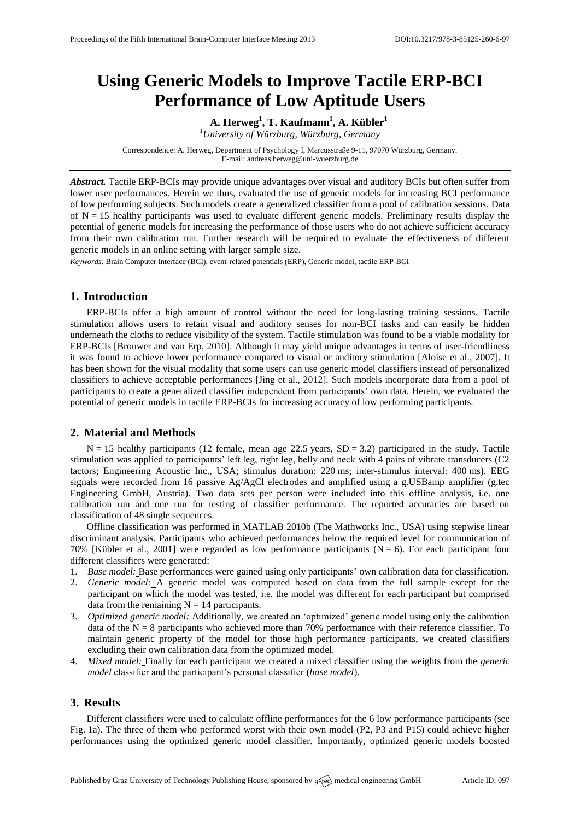# **Using Generic Models to Improve Tactile ERP-BCI Performance of Low Aptitude Users**

**A. Herweg<sup>1</sup> , T. Kaufmann<sup>1</sup> , A. Kübler<sup>1</sup>** *<sup>1</sup>University of Würzburg, Würzburg, Germany*

Correspondence: A. Herweg, Department of Psychology I, Marcusstraße 9-11, 97070 Würzburg, Germany. E-mail[: andreas.herweg@uni-wuerzburg.de](mailto:andreas.herweg@uni-wuerzburg.de)

*Abstract.* Tactile ERP-BCIs may provide unique advantages over visual and auditory BCIs but often suffer from lower user performances. Herein we thus, evaluated the use of generic models for increasing BCI performance of low performing subjects. Such models create a generalized classifier from a pool of calibration sessions. Data of  $N = 15$  healthy participants was used to evaluate different generic models. Preliminary results display the potential of generic models for increasing the performance of those users who do not achieve sufficient accuracy from their own calibration run. Further research will be required to evaluate the effectiveness of different generic models in an online setting with larger sample size.

*Keywords:* Brain Computer Interface (BCI), event-related potentials (ERP), Generic model, tactile ERP-BCI

### **1. Introduction**

ERP-BCIs offer a high amount of control without the need for long-lasting training sessions. Tactile stimulation allows users to retain visual and auditory senses for non-BCI tasks and can easily be hidden underneath the cloths to reduce visibility of the system. Tactile stimulation was found to be a viable modality for ERP-BCIs [Brouwer and van Erp, 2010]. Although it may yield unique advantages in terms of user-friendliness it was found to achieve lower performance compared to visual or auditory stimulation [Aloise et al., 2007]. It has been shown for the visual modality that some users can use generic model classifiers instead of personalized classifiers to achieve acceptable performances [Jing et al., 2012]. Such models incorporate data from a pool of participants to create a generalized classifier independent from participants' own data. Herein, we evaluated the potential of generic models in tactile ERP-BCIs for increasing accuracy of low performing participants.

## **2. Material and Methods**

 $N = 15$  healthy participants (12 female, mean age 22.5 years,  $SD = 3.2$ ) participated in the study. Tactile stimulation was applied to participants' left leg, right leg, belly and neck with 4 pairs of vibrate transducers (C2 tactors; Engineering Acoustic Inc., USA; stimulus duration: 220 ms; inter-stimulus interval: 400 ms). EEG signals were recorded from 16 passive Ag/AgCl electrodes and amplified using a g.USBamp amplifier (g.tec Engineering GmbH, Austria). Two data sets per person were included into this offline analysis, i.e. one calibration run and one run for testing of classifier performance. The reported accuracies are based on classification of 48 single sequences.

Offline classification was performed in MATLAB 2010b (The Mathworks Inc., USA) using stepwise linear discriminant analysis. Participants who achieved performances below the required level for communication of 70% [Kübler et al., 2001] were regarded as low performance participants ( $N = 6$ ). For each participant four different classifiers were generated:

- 1. *Base model:* Base performances were gained using only participants' own calibration data for classification.
- 2. *Generic model:* A generic model was computed based on data from the full sample except for the participant on which the model was tested, i.e. the model was different for each participant but comprised data from the remaining  $N = 14$  participants.
- 3. *Optimized generic model:* Additionally, we created an 'optimized' generic model using only the calibration data of the  $N = 8$  participants who achieved more than 70% performance with their reference classifier. To maintain generic property of the model for those high performance participants, we created classifiers excluding their own calibration data from the optimized model.
- 4. *Mixed model:* Finally for each participant we created a mixed classifier using the weights from the *generic model* classifier and the participant's personal classifier (*base model*).

#### **3. Results**

Different classifiers were used to calculate offline performances for the 6 low performance participants (see Fig. 1a). The three of them who performed worst with their own model (P2, P3 and P15) could achieve higher performances using the optimized generic model classifier. Importantly, optimized generic models boosted